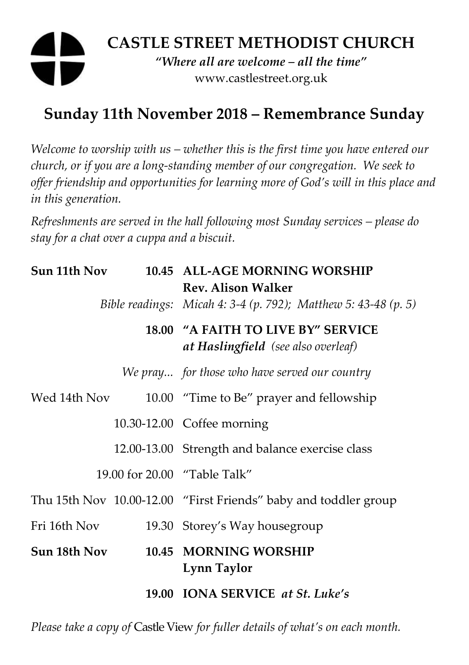# **CASTLE STREET METHODIST CHURCH**  *"Where all are welcome – all the time"*  www.castlestreet.org.uk

## **Sunday 11th November 2018 – Remembrance Sunday**

*Welcome to worship with us – whether this is the first time you have entered our church, or if you are a long-standing member of our congregation. We seek to offer friendship and opportunities for learning more of God's will in this place and in this generation.* 

*Refreshments are served in the hall following most Sunday services – please do stay for a chat over a cuppa and a biscuit.* 

| Sun 11th Nov |  | 10.45 ALL-AGE MORNING WORSHIP<br><b>Rev. Alison Walker</b>                       |
|--------------|--|----------------------------------------------------------------------------------|
|              |  | Bible readings: Micah 4: 3-4 (p. 792); Matthew 5: 43-48 (p. 5)                   |
|              |  | 18.00 "A FAITH TO LIVE BY" SERVICE<br><b>at Haslingfield</b> (see also overleaf) |
|              |  | We pray for those who have served our country                                    |
| Wed 14th Nov |  | 10.00 "Time to Be" prayer and fellowship                                         |
|              |  | 10.30-12.00 Coffee morning                                                       |
|              |  | 12.00-13.00 Strength and balance exercise class                                  |
|              |  | 19.00 for 20.00 "Table Talk"                                                     |
|              |  | Thu 15th Nov 10.00-12.00 "First Friends" baby and toddler group                  |
| Fri 16th Nov |  | 19.30 Storey's Way housegroup                                                    |
| Sun 18th Nov |  | 10.45 MORNING WORSHIP<br>Lynn Taylor                                             |
|              |  | 19.00 IONA SERVICE at St. Luke's                                                 |

*Please take a copy of* Castle View *for fuller details of what's on each month.*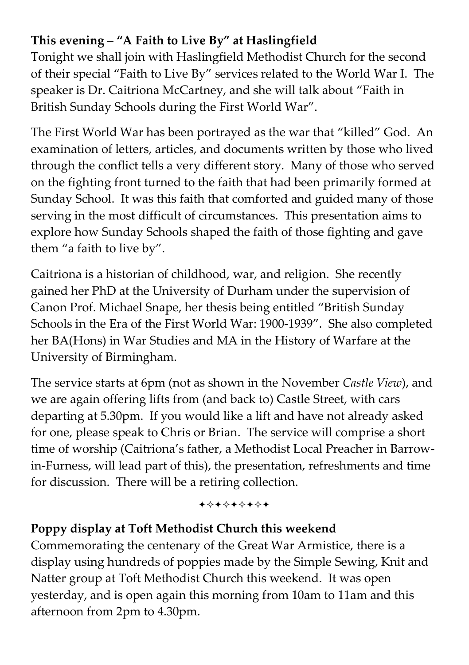### **This evening – "A Faith to Live By" at Haslingfield**

Tonight we shall join with Haslingfield Methodist Church for the second of their special "Faith to Live By" services related to the World War I. The speaker is Dr. Caitriona McCartney, and she will talk about "Faith in British Sunday Schools during the First World War".

The First World War has been portrayed as the war that "killed" God. An examination of letters, articles, and documents written by those who lived through the conflict tells a very different story. Many of those who served on the fighting front turned to the faith that had been primarily formed at Sunday School. It was this faith that comforted and guided many of those serving in the most difficult of circumstances. This presentation aims to explore how Sunday Schools shaped the faith of those fighting and gave them "a faith to live by".

Caitriona is a historian of childhood, war, and religion. She recently gained her PhD at the University of Durham under the supervision of Canon Prof. Michael Snape, her thesis being entitled "British Sunday Schools in the Era of the First World War: 1900-1939". She also completed her BA(Hons) in War Studies and MA in the History of Warfare at the University of Birmingham.

The service starts at 6pm (not as shown in the November *Castle View*), and we are again offering lifts from (and back to) Castle Street, with cars departing at 5.30pm. If you would like a lift and have not already asked for one, please speak to Chris or Brian. The service will comprise a short time of worship (Caitriona's father, a Methodist Local Preacher in Barrowin-Furness, will lead part of this), the presentation, refreshments and time for discussion. There will be a retiring collection.

+\*\*\*\*\*\*\*

#### **Poppy display at Toft Methodist Church this weekend**

Commemorating the centenary of the Great War Armistice, there is a display using hundreds of poppies made by the Simple Sewing, Knit and Natter group at Toft Methodist Church this weekend. It was open yesterday, and is open again this morning from 10am to 11am and this afternoon from 2pm to 4.30pm.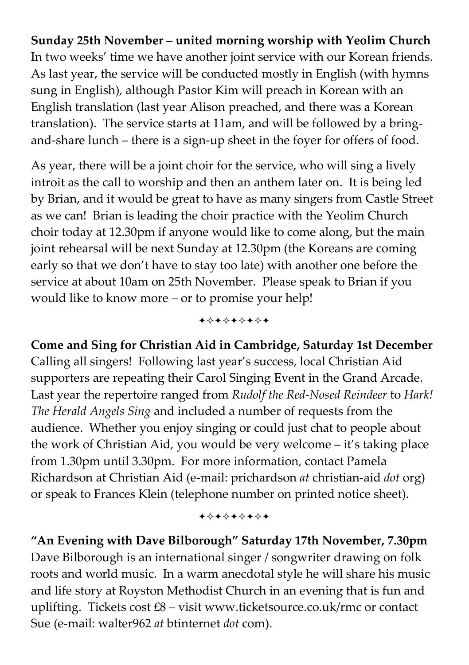**Sunday 25th November – united morning worship with Yeolim Church**  In two weeks' time we have another joint service with our Korean friends. As last year, the service will be conducted mostly in English (with hymns sung in English), although Pastor Kim will preach in Korean with an English translation (last year Alison preached, and there was a Korean translation). The service starts at 11am, and will be followed by a bringand-share lunch – there is a sign-up sheet in the foyer for offers of food.

As year, there will be a joint choir for the service, who will sing a lively introit as the call to worship and then an anthem later on. It is being led by Brian, and it would be great to have as many singers from Castle Street as we can! Brian is leading the choir practice with the Yeolim Church choir today at 12.30pm if anyone would like to come along, but the main joint rehearsal will be next Sunday at 12.30pm (the Koreans are coming early so that we don't have to stay too late) with another one before the service at about 10am on 25th November. Please speak to Brian if you would like to know more – or to promise your help!

+\*\*\*\*\*\*\*

**Come and Sing for Christian Aid in Cambridge, Saturday 1st December**  Calling all singers! Following last year's success, local Christian Aid supporters are repeating their Carol Singing Event in the Grand Arcade. Last year the repertoire ranged from *Rudolf the Red-Nosed Reindeer* to *Hark! The Herald Angels Sing* and included a number of requests from the audience. Whether you enjoy singing or could just chat to people about the work of Christian Aid, you would be very welcome – it's taking place from 1.30pm until 3.30pm. For more information, contact Pamela Richardson at Christian Aid (e-mail: prichardson *at* christian-aid *dot* org) or speak to Frances Klein (telephone number on printed notice sheet).

+\*+\*+\*+\*+

**"An Evening with Dave Bilborough" Saturday 17th November, 7.30pm**  Dave Bilborough is an international singer / songwriter drawing on folk roots and world music. In a warm anecdotal style he will share his music and life story at Royston Methodist Church in an evening that is fun and uplifting. Tickets cost £8 – visit www.ticketsource.co.uk/rmc or contact Sue (e-mail: walter962 *at* btinternet *dot* com).